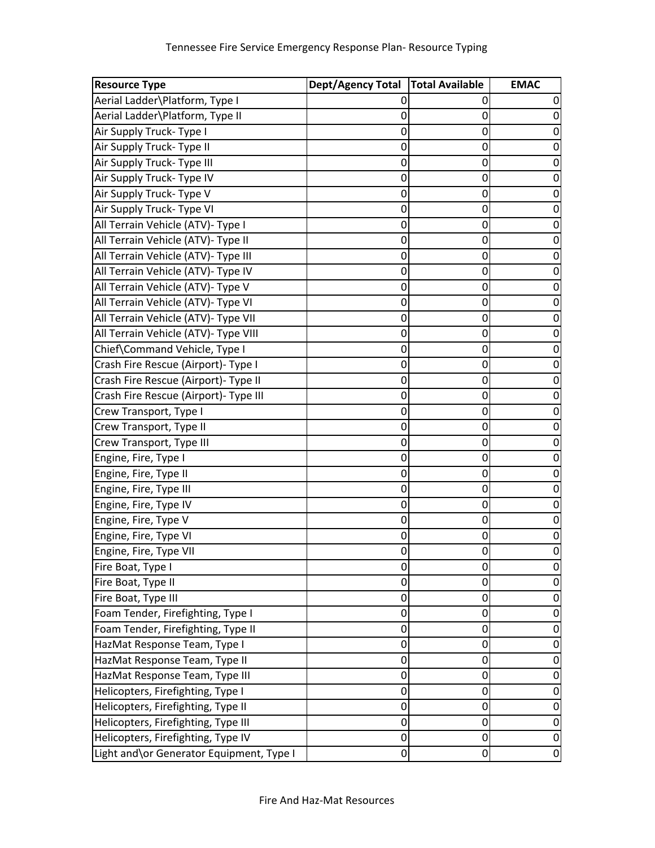| <b>Resource Type</b>                      | Dept/Agency Total   Total Available |             | <b>EMAC</b> |
|-------------------------------------------|-------------------------------------|-------------|-------------|
| Aerial Ladder\Platform, Type I            |                                     |             |             |
| Aerial Ladder\Platform, Type II           | 0                                   | 0           |             |
| Air Supply Truck- Type I                  | 0                                   | 0           |             |
| Air Supply Truck- Type II                 | 0                                   | 0           |             |
| Air Supply Truck- Type III                | 0                                   | 0           |             |
| Air Supply Truck- Type IV                 | 0                                   | 0           |             |
| Air Supply Truck- Type V                  | 0                                   | 0           |             |
| Air Supply Truck- Type VI                 | 0                                   | 0           |             |
| All Terrain Vehicle (ATV)- Type I         | 0                                   | 0           |             |
| All Terrain Vehicle (ATV)- Type II        | 0                                   | 0           |             |
| All Terrain Vehicle (ATV)- Type III       | 0                                   | 0           |             |
| All Terrain Vehicle (ATV)- Type IV        | 0                                   | 0           |             |
| All Terrain Vehicle (ATV)- Type V         | 0                                   | 0           |             |
| All Terrain Vehicle (ATV)- Type VI        | 0                                   | 0           |             |
| All Terrain Vehicle (ATV)- Type VII       | 0                                   | 0           |             |
| All Terrain Vehicle (ATV)- Type VIII      | 0                                   | 0           |             |
| Chief\Command Vehicle, Type I             | 0                                   | 0           |             |
| Crash Fire Rescue (Airport)- Type I       | 0                                   | 0           |             |
| Crash Fire Rescue (Airport)- Type II      | 0                                   | 0           |             |
| Crash Fire Rescue (Airport)- Type III     | 0                                   | 0           |             |
| Crew Transport, Type I                    | 0                                   | 0           |             |
| Crew Transport, Type II                   | 0                                   | 0           |             |
| Crew Transport, Type III                  | 0                                   | 0           |             |
| Engine, Fire, Type I                      | 0                                   | 0           |             |
| Engine, Fire, Type II                     | 0                                   | 0           |             |
| Engine, Fire, Type III                    | 0                                   | 0           |             |
| Engine, Fire, Type IV                     | 0                                   | 0           |             |
| Engine, Fire, Type V                      | 0                                   | 0           |             |
| Engine, Fire, Type VI                     | 0                                   | 0           |             |
| Engine, Fire, Type VII                    | $\mathbf 0$                         | $\mathbf 0$ |             |
| Fire Boat, Type I                         | 0                                   | 0           | O           |
| Fire Boat, Type II                        | 0                                   | 0           |             |
| Fire Boat, Type III                       | 0                                   | 0           |             |
| Foam Tender, Firefighting, Type I         | 0                                   | 0           | O           |
| Foam Tender, Firefighting, Type II        | 0                                   | 0           |             |
| HazMat Response Team, Type I              | 0                                   | 0           |             |
| HazMat Response Team, Type II             | 0                                   | 0           |             |
| HazMat Response Team, Type III            | 0                                   | 0           |             |
| Helicopters, Firefighting, Type I         | 0                                   | 0           | 0           |
| Helicopters, Firefighting, Type II        | 0                                   | 0           | 0           |
| Helicopters, Firefighting, Type III       | 0                                   | 0           | 0           |
| Helicopters, Firefighting, Type IV        | $\mathbf 0$                         | $\mathbf 0$ | 0           |
| Light and \or Generator Equipment, Type I | 0                                   | $\mathbf 0$ | 0           |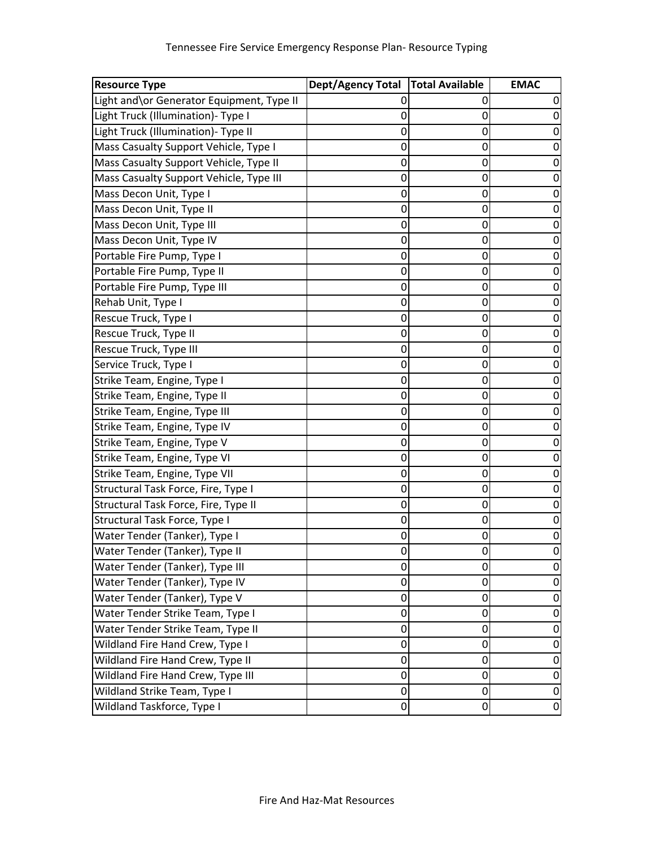| <b>Resource Type</b>                      | <b>Dept/Agency Total</b> | <b>Total Available</b> | <b>EMAC</b>      |
|-------------------------------------------|--------------------------|------------------------|------------------|
| Light and\or Generator Equipment, Type II | 0                        |                        |                  |
| Light Truck (Illumination)- Type I        | 0                        | 0                      |                  |
| Light Truck (Illumination)- Type II       | 0                        | 0                      | 0                |
| Mass Casualty Support Vehicle, Type I     | 0                        | 0                      |                  |
| Mass Casualty Support Vehicle, Type II    | 0                        | 0                      |                  |
| Mass Casualty Support Vehicle, Type III   | 0                        | 0                      |                  |
| Mass Decon Unit, Type I                   | 0                        | 0                      |                  |
| Mass Decon Unit, Type II                  | 0                        | 0                      |                  |
| Mass Decon Unit, Type III                 | 0                        | 0                      |                  |
| Mass Decon Unit, Type IV                  | 0                        | 0                      | 0                |
| Portable Fire Pump, Type I                | 0                        | 0                      |                  |
| Portable Fire Pump, Type II               | 0                        | 0                      |                  |
| Portable Fire Pump, Type III              | 0                        | 0                      |                  |
| Rehab Unit, Type I                        | 0                        | 0                      |                  |
| Rescue Truck, Type I                      | 0                        | 0                      | 0                |
| Rescue Truck, Type II                     | 0                        | 0                      |                  |
| Rescue Truck, Type III                    | 0                        | 0                      |                  |
| Service Truck, Type I                     | 0                        | 0                      |                  |
| Strike Team, Engine, Type I               | 0                        | 0                      |                  |
| Strike Team, Engine, Type II              | 0                        | 0                      |                  |
| Strike Team, Engine, Type III             | 0                        | 0                      |                  |
| Strike Team, Engine, Type IV              | 0                        | 0                      | 0                |
| Strike Team, Engine, Type V               | 0                        | 0                      |                  |
| Strike Team, Engine, Type VI              | 0                        | 0                      |                  |
| Strike Team, Engine, Type VII             | 0                        | 0                      |                  |
| Structural Task Force, Fire, Type I       | 0                        | 0                      |                  |
| Structural Task Force, Fire, Type II      | $\mathbf 0$              | 0                      | 0                |
| Structural Task Force, Type I             | 0                        | 0                      | 0                |
| Water Tender (Tanker), Type I             | 0                        | 0                      | U                |
| Water Tender (Tanker), Type II            | 0                        | 0                      |                  |
| Water Tender (Tanker), Type III           | 0                        | 0                      |                  |
| Water Tender (Tanker), Type IV            | $\mathbf{0}$             | 0                      | 0                |
| Water Tender (Tanker), Type V             | 0                        | 0                      | 0                |
| Water Tender Strike Team, Type I          | 0                        | 0                      | 0                |
| Water Tender Strike Team, Type II         | 0                        | 0                      | 0                |
| Wildland Fire Hand Crew, Type I           | 0                        | 0                      | 0                |
| Wildland Fire Hand Crew, Type II          | $\mathbf 0$              | 0                      | $\Omega$         |
| Wildland Fire Hand Crew, Type III         | 0                        | 0                      | 0                |
| Wildland Strike Team, Type I              | 0                        | 0                      | $\boldsymbol{0}$ |
| Wildland Taskforce, Type I                | 0                        | 0                      | $\mathbf 0$      |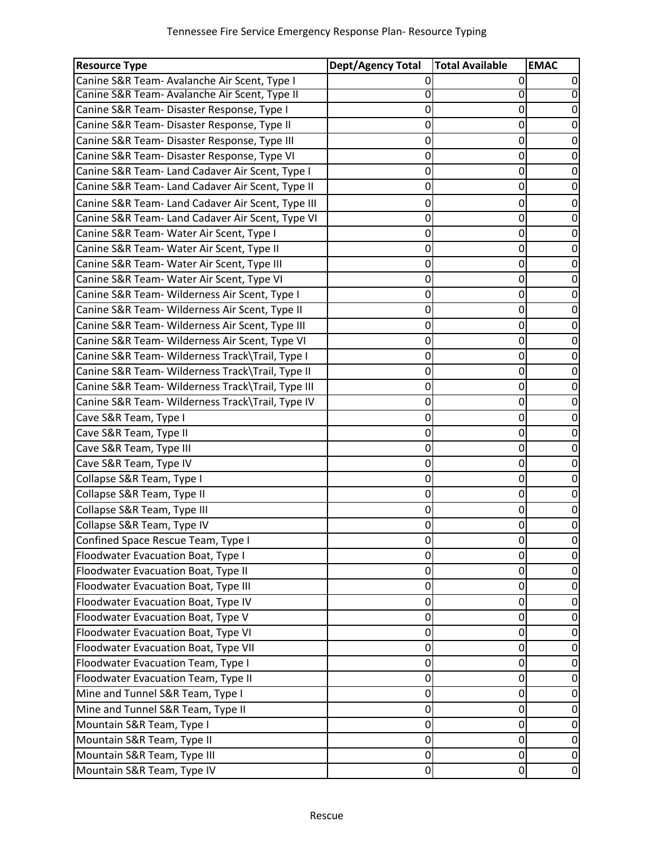| <b>Resource Type</b>                              | <b>Dept/Agency Total</b> | <b>Total Available</b> | <b>EMAC</b> |
|---------------------------------------------------|--------------------------|------------------------|-------------|
| Canine S&R Team- Avalanche Air Scent, Type I      |                          | 0                      |             |
| Canine S&R Team- Avalanche Air Scent, Type II     | 0                        | 0                      |             |
| Canine S&R Team- Disaster Response, Type I        | 0                        | 0                      |             |
| Canine S&R Team- Disaster Response, Type II       | 0                        | 0                      | 0           |
| Canine S&R Team- Disaster Response, Type III      | 0                        | 0                      |             |
| Canine S&R Team- Disaster Response, Type VI       | 0                        | 0                      | 0           |
| Canine S&R Team- Land Cadaver Air Scent, Type I   | 0                        | 0                      |             |
| Canine S&R Team- Land Cadaver Air Scent, Type II  | 0                        | 0                      |             |
| Canine S&R Team- Land Cadaver Air Scent, Type III | 0                        | 0                      | 0           |
| Canine S&R Team- Land Cadaver Air Scent, Type VI  | 0                        | 0                      | 0           |
| Canine S&R Team- Water Air Scent, Type I          | 0                        | 0                      | 0           |
| Canine S&R Team- Water Air Scent, Type II         | 0                        | 0                      | 0           |
| Canine S&R Team- Water Air Scent, Type III        | 0                        | 0                      | 0           |
| Canine S&R Team- Water Air Scent, Type VI         | 0                        | 0                      | 0           |
| Canine S&R Team- Wilderness Air Scent, Type I     | 0                        | 0                      |             |
| Canine S&R Team- Wilderness Air Scent, Type II    | 0                        | 0                      | 0           |
| Canine S&R Team- Wilderness Air Scent, Type III   | 0                        | 0                      | 0           |
| Canine S&R Team- Wilderness Air Scent, Type VI    | 0                        | 0                      | 0           |
| Canine S&R Team- Wilderness Track\Trail, Type I   | 0                        | 0                      | 0           |
| Canine S&R Team- Wilderness Track\Trail, Type II  | 0                        | 0                      | 0           |
| Canine S&R Team- Wilderness Track\Trail, Type III | 0                        | 0                      | 0           |
| Canine S&R Team- Wilderness Track\Trail, Type IV  | 0                        | 0                      | 0           |
| Cave S&R Team, Type I                             | 0                        | 0                      |             |
| Cave S&R Team, Type II                            | 0                        | 0                      | 0           |
| Cave S&R Team, Type III                           | 0                        | 0                      |             |
| Cave S&R Team, Type IV                            | 0                        | 0                      |             |
| Collapse S&R Team, Type I                         | 0                        | 0                      |             |
| Collapse S&R Team, Type II                        | 0                        | 0                      |             |
| Collapse S&R Team, Type III                       | 0                        | 0                      |             |
| Collapse S&R Team, Type IV                        | 0                        | 0                      | 0           |
| Confined Space Rescue Team, Type I                | 0                        | 0                      | U           |
| Floodwater Evacuation Boat, Type I                | 0                        | 0                      | $\Omega$    |
| Floodwater Evacuation Boat, Type II               | 0                        | 0                      |             |
| Floodwater Evacuation Boat, Type III              | 0                        | 0                      | 0           |
| Floodwater Evacuation Boat, Type IV               | 0                        | 0                      | 0           |
| Floodwater Evacuation Boat, Type V                | 0                        | 0                      |             |
| Floodwater Evacuation Boat, Type VI               | 0                        | 0                      | 0           |
| Floodwater Evacuation Boat, Type VII              | 0                        | 0                      |             |
| Floodwater Evacuation Team, Type I                | 0                        | 0                      | 0           |
| Floodwater Evacuation Team, Type II               | 0                        | 0                      | 0           |
| Mine and Tunnel S&R Team, Type I                  | 0                        | 0                      | 0           |
| Mine and Tunnel S&R Team, Type II                 | 0                        | 0                      | 0           |
| Mountain S&R Team, Type I                         | 0                        | 0                      | 0           |
| Mountain S&R Team, Type II                        | 0                        | 0                      | 0           |
| Mountain S&R Team, Type III                       | 0                        | 0                      | 0           |
| Mountain S&R Team, Type IV                        | 0                        | 0                      | $\mathbf 0$ |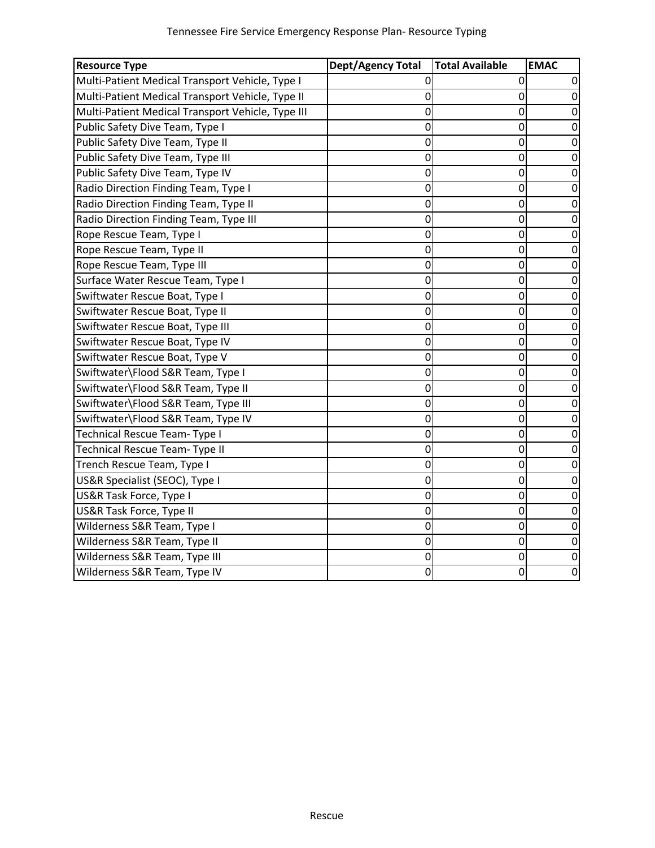| <b>Resource Type</b>                              | <b>Dept/Agency Total</b> | <b>Total Available</b> | <b>EMAC</b> |
|---------------------------------------------------|--------------------------|------------------------|-------------|
| Multi-Patient Medical Transport Vehicle, Type I   | 0                        | 0                      |             |
| Multi-Patient Medical Transport Vehicle, Type II  | 0                        | $\mathbf 0$            | $\Omega$    |
| Multi-Patient Medical Transport Vehicle, Type III | 0                        | 0                      |             |
| Public Safety Dive Team, Type I                   | 0                        | 0                      | 0           |
| Public Safety Dive Team, Type II                  | 0                        | 0                      | 0           |
| Public Safety Dive Team, Type III                 | 0                        | 0                      | 0           |
| Public Safety Dive Team, Type IV                  | 0                        | 0                      | $\mathbf 0$ |
| Radio Direction Finding Team, Type I              | 0                        | 0                      | 0           |
| Radio Direction Finding Team, Type II             | 0                        | $\mathbf 0$            | 0           |
| Radio Direction Finding Team, Type III            | 0                        | $\mathbf 0$            | 0           |
| Rope Rescue Team, Type I                          | 0                        | 0                      | 0           |
| Rope Rescue Team, Type II                         | 0                        | $\mathbf 0$            | 0           |
| Rope Rescue Team, Type III                        | 0                        | 0                      | 0           |
| Surface Water Rescue Team, Type I                 | 0                        | 0                      | 0           |
| Swiftwater Rescue Boat, Type I                    | 0                        | 0                      | 0           |
| Swiftwater Rescue Boat, Type II                   | 0                        | 0                      | O           |
| Swiftwater Rescue Boat, Type III                  | 0                        | 0                      | 0           |
| Swiftwater Rescue Boat, Type IV                   | 0                        | 0                      | 0           |
| Swiftwater Rescue Boat, Type V                    | 0                        | 0                      | 0           |
| Swiftwater\Flood S&R Team, Type I                 | 0                        | 0                      | 0           |
| Swiftwater\Flood S&R Team, Type II                | 0                        | $\mathbf 0$            | 0           |
| Swiftwater\Flood S&R Team, Type III               | 0                        | 0                      | 0           |
| Swiftwater\Flood S&R Team, Type IV                | 0                        | 0                      | 0           |
| Technical Rescue Team- Type I                     | 0                        | 0                      | 0           |
| Technical Rescue Team- Type II                    | 0                        | 0                      | 0           |
| Trench Rescue Team, Type I                        | 0                        | 0                      | 0           |
| US&R Specialist (SEOC), Type I                    | 0                        | 0                      | 0           |
| US&R Task Force, Type I                           | 0                        | 0                      | 0           |
| US&R Task Force, Type II                          | 0                        | 0                      | 0           |
| Wilderness S&R Team, Type I                       | 0                        | 0                      | 0           |
| Wilderness S&R Team, Type II                      | 0                        | 0                      | 0           |
| Wilderness S&R Team, Type III                     | 0                        | 0                      | 0           |
| Wilderness S&R Team, Type IV                      | $\mathbf 0$              | 0                      | 0           |